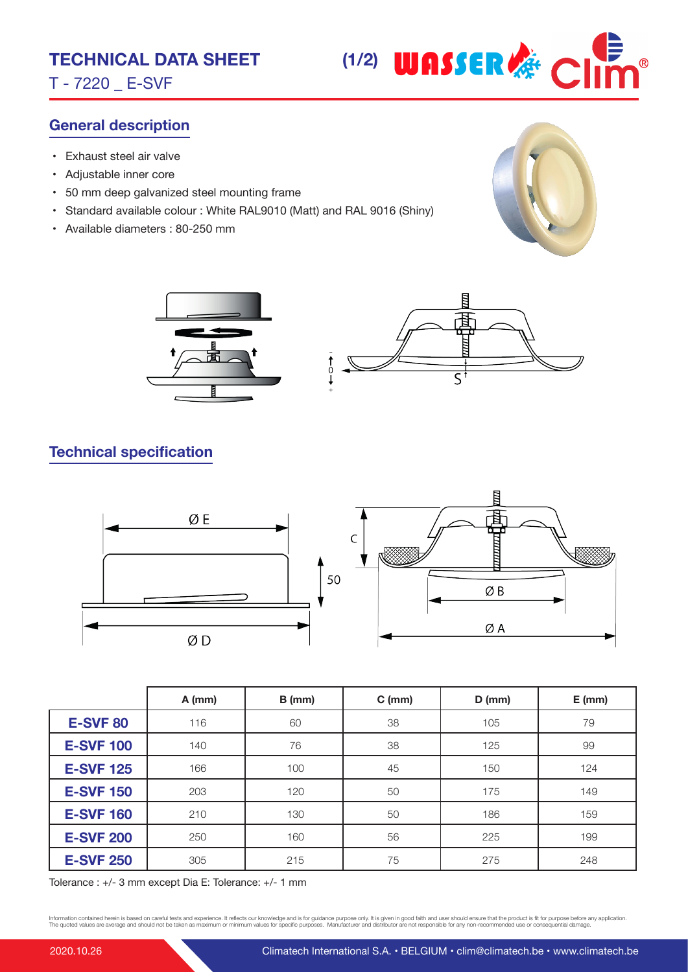T - 7220 \_ E-SVF



## **General description**

- Exhaust steel air valve
- Adjustable inner core
- 50 mm deep galvanized steel mounting frame
- Standard available colour : White RAL9010 (Matt) and RAL 9016 (Shiny)
- Available diameters : 80-250 mm





## **Technical specification**



|                  | $A$ (mm) | $B$ (mm) | $C$ (mm) | $D$ (mm) | $E$ (mm) |
|------------------|----------|----------|----------|----------|----------|
| <b>E-SVF 80</b>  | 116      | 60       | 38       | 105      | 79       |
| <b>E-SVF 100</b> | 140      | 76       | 38       | 125      | 99       |
| <b>E-SVF 125</b> | 166      | 100      | 45       | 150      | 124      |
| <b>E-SVF 150</b> | 203      | 120      | 50       | 175      | 149      |
| <b>E-SVF 160</b> | 210      | 130      | 50       | 186      | 159      |
| <b>E-SVF 200</b> | 250      | 160      | 56       | 225      | 199      |
| <b>E-SVF 250</b> | 305      | 215      | 75       | 275      | 248      |

Tolerance : +/- 3 mm except Dia E: Tolerance: +/- 1 mm

Information contained herein is based on careful tests and experience. It reflects our knowledge and is for guidance purpose only. It is given in good faith and user should ensure that the product is fit for purpose before